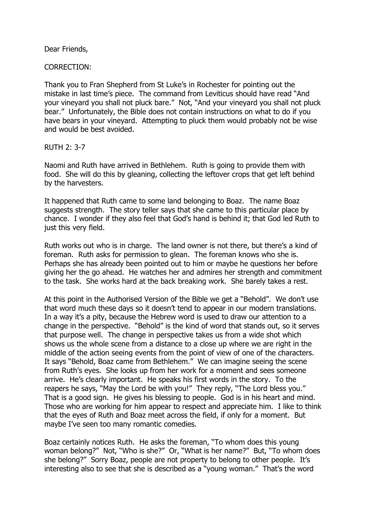Dear Friends,

CORRECTION:

Thank you to Fran Shepherd from St Luke's in Rochester for pointing out the mistake in last time's piece. The command from Leviticus should have read "And your vineyard you shall not pluck bare." Not, "And your vineyard you shall not pluck bear." Unfortunately, the Bible does not contain instructions on what to do if you have bears in your vineyard. Attempting to pluck them would probably not be wise and would be best avoided.

RUTH 2: 3-7

Naomi and Ruth have arrived in Bethlehem. Ruth is going to provide them with food. She will do this by gleaning, collecting the leftover crops that get left behind by the harvesters.

It happened that Ruth came to some land belonging to Boaz. The name Boaz suggests strength. The story teller says that she came to this particular place by chance. I wonder if they also feel that God's hand is behind it; that God led Ruth to just this very field.

Ruth works out who is in charge. The land owner is not there, but there's a kind of foreman. Ruth asks for permission to glean. The foreman knows who she is. Perhaps she has already been pointed out to him or maybe he questions her before giving her the go ahead. He watches her and admires her strength and commitment to the task. She works hard at the back breaking work. She barely takes a rest.

At this point in the Authorised Version of the Bible we get a "Behold". We don't use that word much these days so it doesn't tend to appear in our modern translations. In a way it's a pity, because the Hebrew word is used to draw our attention to a change in the perspective. "Behold" is the kind of word that stands out, so it serves that purpose well. The change in perspective takes us from a wide shot which shows us the whole scene from a distance to a close up where we are right in the middle of the action seeing events from the point of view of one of the characters. It says "Behold, Boaz came from Bethlehem." We can imagine seeing the scene from Ruth's eyes. She looks up from her work for a moment and sees someone arrive. He's clearly important. He speaks his first words in the story. To the reapers he says, "May the Lord be with you!" They reply, "The Lord bless you." That is a good sign. He gives his blessing to people. God is in his heart and mind. Those who are working for him appear to respect and appreciate him. I like to think that the eyes of Ruth and Boaz meet across the field, if only for a moment. But maybe I've seen too many romantic comedies.

Boaz certainly notices Ruth. He asks the foreman, "To whom does this young woman belong?" Not, "Who is she?" Or, "What is her name?" But, "To whom does she belong?" Sorry Boaz, people are not property to belong to other people. It's interesting also to see that she is described as a "young woman." That's the word